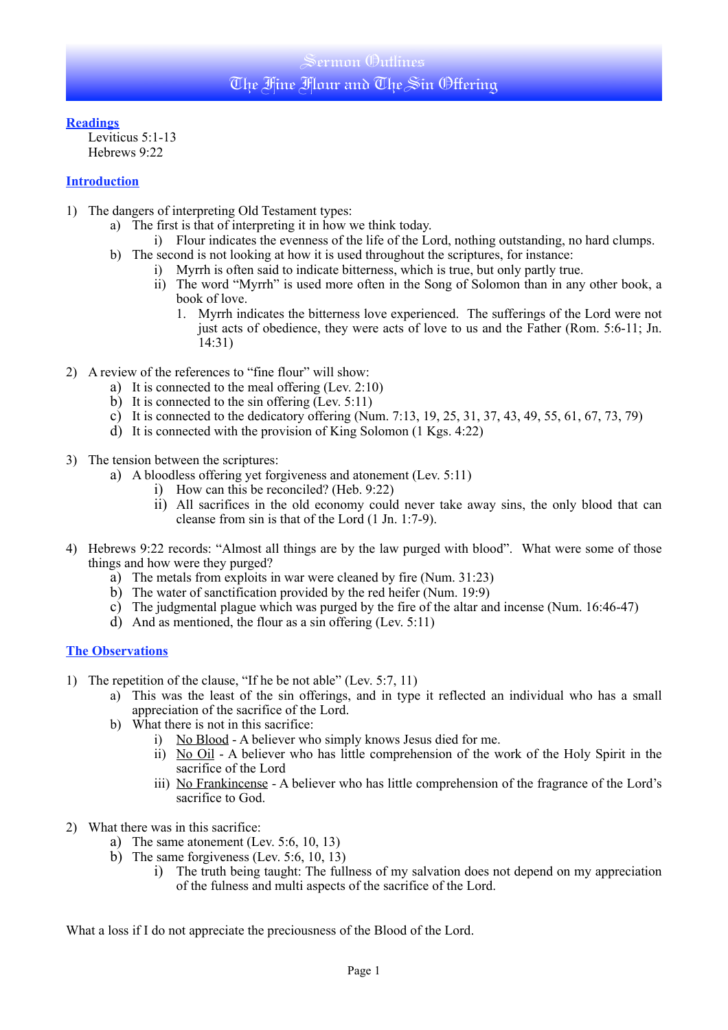**Readings**

Leviticus 5:1-13 Hebrews 9:22

## **Introduction**

- 1) The dangers of interpreting Old Testament types:
	- a) The first is that of interpreting it in how we think today.
		- i) Flour indicates the evenness of the life of the Lord, nothing outstanding, no hard clumps.
	- b) The second is not looking at how it is used throughout the scriptures, for instance:
		- i) Myrrh is often said to indicate bitterness, which is true, but only partly true.
			- ii) The word "Myrrh" is used more often in the Song of Solomon than in any other book, a book of love.
				- 1. Myrrh indicates the bitterness love experienced. The sufferings of the Lord were not just acts of obedience, they were acts of love to us and the Father (Rom. 5:6-11; Jn. 14:31)
- 2) A review of the references to "fine flour" will show:
	- a) It is connected to the meal offering (Lev. 2:10)
	- b) It is connected to the sin offering (Lev. 5:11)
	- c) It is connected to the dedicatory offering (Num. 7:13, 19, 25, 31, 37, 43, 49, 55, 61, 67, 73, 79)
	- d) It is connected with the provision of King Solomon (1 Kgs. 4:22)
- 3) The tension between the scriptures:
	- a) A bloodless offering yet forgiveness and atonement (Lev. 5:11)
		- i) How can this be reconciled? (Heb. 9:22)
		- ii) All sacrifices in the old economy could never take away sins, the only blood that can cleanse from sin is that of the Lord (1 Jn. 1:7-9).
- 4) Hebrews 9:22 records: "Almost all things are by the law purged with blood". What were some of those things and how were they purged?
	- a) The metals from exploits in war were cleaned by fire (Num. 31:23)
	- b) The water of sanctification provided by the red heifer (Num. 19:9)
	- c) The judgmental plague which was purged by the fire of the altar and incense (Num. 16:46-47)
	- d) And as mentioned, the flour as a sin offering (Lev. 5:11)

# **The Observations**

- 1) The repetition of the clause, "If he be not able" (Lev. 5:7, 11)
	- a) This was the least of the sin offerings, and in type it reflected an individual who has a small appreciation of the sacrifice of the Lord.
	- b) What there is not in this sacrifice:
		- i) No Blood A believer who simply knows Jesus died for me.
		- ii) No Oil A believer who has little comprehension of the work of the Holy Spirit in the sacrifice of the Lord
		- iii) No Frankincense A believer who has little comprehension of the fragrance of the Lord's sacrifice to God.
- 2) What there was in this sacrifice:
	- a) The same atonement (Lev. 5:6, 10, 13)
	- b) The same forgiveness (Lev. 5:6, 10, 13)
		- i) The truth being taught: The fullness of my salvation does not depend on my appreciation of the fulness and multi aspects of the sacrifice of the Lord.

What a loss if I do not appreciate the preciousness of the Blood of the Lord.